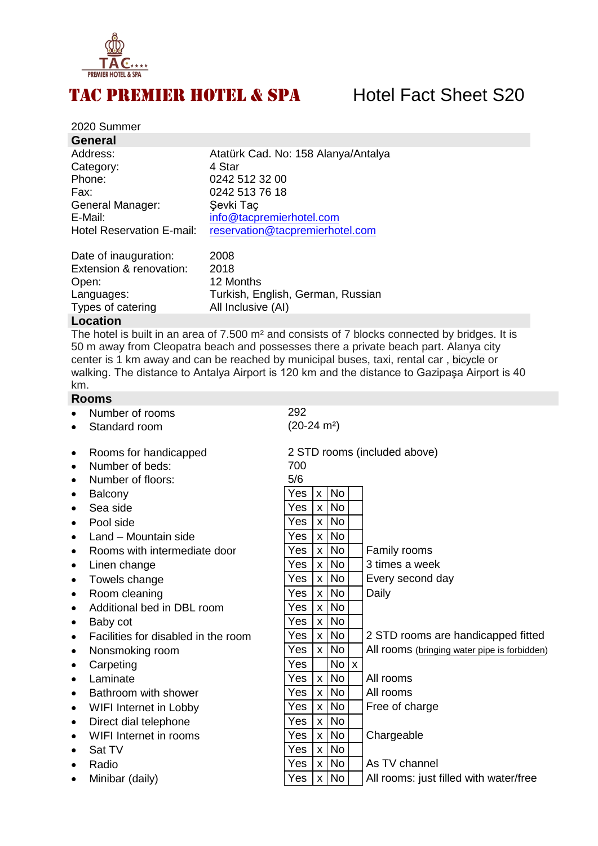

## TAC PREMIER HOTEL & SPA Hotel Fact Sheet S20

| 2020 Summer                      |                                     |
|----------------------------------|-------------------------------------|
| <b>General</b>                   |                                     |
| Address:                         | Atatürk Cad. No: 158 Alanya/Antalya |
| Category:                        | 4 Star                              |
| Phone:                           | 0242 512 32 00                      |
| Fax:                             | 0242 513 76 18                      |
| General Manager:                 | Şevki Taç                           |
| E-Mail:                          | info@tacpremierhotel.com            |
| <b>Hotel Reservation E-mail:</b> | reservation@tacpremierhotel.com     |
|                                  |                                     |

| Date of inauguration:   | 2008                              |
|-------------------------|-----------------------------------|
| Extension & renovation: | 2018                              |
| Open:                   | 12 Months                         |
| Languages:              | Turkish, English, German, Russian |
| Types of catering       | All Inclusive (AI)                |

### **Location**

The hotel is built in an area of 7.500 m² and consists of 7 blocks connected by bridges. It is 50 m away from Cleopatra beach and possesses there a private beach part. Alanya city center is 1 km away and can be reached by municipal buses, taxi, rental car , bicycle or walking. The distance to Antalya Airport is 120 km and the distance to Gazipaşa Airport is 40 km.

### **Rooms**

- Number of rooms 292
- Standard room
- Rooms for handicapped
- Number of beds:
- Number of floors:
- $\bullet$  Balcony
- Sea side
- $\bullet$  Pool side
- $\bullet$  Land Mountain side
- $\bullet$  Rooms with intermediate door
- $\bullet$  Linen change
- $\bullet$  Towels change
- $\bullet$  Room cleaning
- Additional bed in DBL room
- $\bullet$  Baby cot
- $\bullet$  Facilities for disabled in the room
- Nonsmoking room
- $\bullet$  Carpeting
- $\bullet$  Laminate
- $\bullet$  Bathroom with shower
- $\bullet$  WIFI Internet in Lobby
- $\bullet$  Direct dial telephone
- $\bullet$  WIFI Internet in rooms
- $\bullet$  Sat TV
- 
- $\bullet$  Minibar (daily)

|           | בווטטו וט וסעוווטרו                 |                       |              |                 |                                              |
|-----------|-------------------------------------|-----------------------|--------------|-----------------|----------------------------------------------|
| $\bullet$ | Standard room                       | $(20-24 \text{ m}^2)$ |              |                 |                                              |
| $\bullet$ | Rooms for handicapped               |                       |              |                 | 2 STD rooms (included above)                 |
| $\bullet$ | Number of beds:                     | 700                   |              |                 |                                              |
| $\bullet$ | Number of floors:                   | 5/6                   |              |                 |                                              |
| $\bullet$ | Balcony                             | Yes                   | $\mathsf{x}$ | <b>No</b>       |                                              |
| $\bullet$ | Sea side                            | Yes                   | $\times$     | <b>No</b>       |                                              |
| $\bullet$ | Pool side                           | Yes                   | $\mathsf{x}$ | <b>No</b>       |                                              |
| $\bullet$ | Land - Mountain side                | Yes                   | $\mathsf{x}$ | <b>No</b>       |                                              |
| $\bullet$ | Rooms with intermediate door        | Yes                   | $\mathsf{X}$ | <b>No</b>       | Family rooms                                 |
| $\bullet$ | Linen change                        | Yes                   | $\mathsf{x}$ | <b>No</b>       | 3 times a week                               |
| $\bullet$ | Towels change                       | Yes                   | $\mathsf{x}$ | <b>No</b>       | Every second day                             |
| $\bullet$ | Room cleaning                       | Yes                   | $\mathsf{x}$ | <b>No</b>       | Daily                                        |
| $\bullet$ | Additional bed in DBL room          | Yes                   | $\mathsf{x}$ | No              |                                              |
| $\bullet$ | Baby cot                            | Yes                   | X            | <b>No</b>       |                                              |
| $\bullet$ | Facilities for disabled in the room | Yes                   | $\mathsf{x}$ | No              | 2 STD rooms are handicapped fitted           |
| $\bullet$ | Nonsmoking room                     | Yes                   | $\mathsf{X}$ | <b>No</b>       | All rooms (bringing water pipe is forbidden) |
| $\bullet$ | Carpeting                           | Yes                   |              | No <sub>x</sub> |                                              |
| $\bullet$ | Laminate                            | Yes                   | $\mathsf{X}$ | <b>No</b>       | All rooms                                    |
| $\bullet$ | Bathroom with shower                | Yes                   | $\mathsf{x}$ | No              | All rooms                                    |
| $\bullet$ | WIFI Internet in Lobby              | Yes                   | $\mathsf{x}$ | <b>No</b>       | Free of charge                               |
| $\bullet$ | Direct dial telephone               | Yes                   | $\mathsf{x}$ | <b>No</b>       |                                              |
| $\bullet$ | WIFI Internet in rooms              | Yes                   | $\mathsf{x}$ | <b>No</b>       | Chargeable                                   |
| ٠         | Sat TV                              | Yes                   | $\mathsf{x}$ | <b>No</b>       |                                              |
| $\bullet$ | Radio                               | Yes                   | $\mathsf{X}$ | No              | As TV channel                                |
|           | Minibar (daily)                     | Yes                   | $\mathsf{X}$ | <b>No</b>       | All rooms: just filled with water/free       |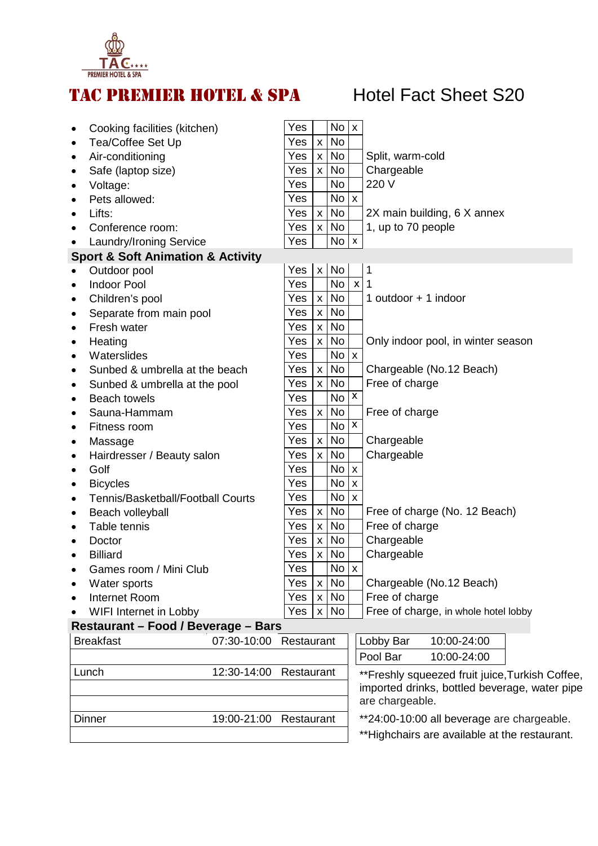

# TAC PREMIER HOTEL & SPA Hotel Fact Sheet S20

| Cooking facilities (kitchen)<br>$\bullet$             | Yes        |                           | No              | $\boldsymbol{\mathsf{x}}$                                                                                           |                                               |
|-------------------------------------------------------|------------|---------------------------|-----------------|---------------------------------------------------------------------------------------------------------------------|-----------------------------------------------|
| Tea/Coffee Set Up<br>$\bullet$                        | Yes        | $\mathsf{x}$              | <b>No</b>       |                                                                                                                     |                                               |
| Air-conditioning<br>$\bullet$                         | Yes        | $\mathsf{X}$              | <b>No</b>       |                                                                                                                     | Split, warm-cold                              |
| Safe (laptop size)<br>٠                               | Yes        | $\mathsf{X}$              | <b>No</b>       |                                                                                                                     | Chargeable                                    |
| Voltage:<br>$\bullet$                                 | Yes        |                           | <b>No</b>       |                                                                                                                     | 220 V                                         |
| Pets allowed:<br>$\bullet$                            | Yes        |                           | No <sub>1</sub> | $\boldsymbol{\mathsf{X}}$                                                                                           |                                               |
| Lifts:<br>$\bullet$                                   | Yes        | $\mathsf{x}$              | <b>No</b>       |                                                                                                                     | 2X main building, 6 X annex                   |
| Conference room:                                      | Yes        | $\mathsf{X}$              | <b>No</b>       |                                                                                                                     | 1, up to 70 people                            |
| <b>Laundry/Ironing Service</b>                        | Yes        |                           | <b>No</b>       | $\mathsf{x}$                                                                                                        |                                               |
| <b>Sport &amp; Soft Animation &amp; Activity</b>      |            |                           |                 |                                                                                                                     |                                               |
| Outdoor pool<br>$\bullet$                             | Yes        | $\boldsymbol{\mathsf{x}}$ | <b>No</b>       |                                                                                                                     | 1                                             |
| <b>Indoor Pool</b><br>$\bullet$                       | Yes        |                           | <b>No</b>       | $\mathsf{x}$                                                                                                        | 1                                             |
| Children's pool<br>$\bullet$                          | Yes        | $\mathsf{X}$              | <b>No</b>       |                                                                                                                     | 1 outdoor $+$ 1 indoor                        |
| Separate from main pool<br>$\bullet$                  | Yes        | $\mathsf{x}$              | <b>No</b>       |                                                                                                                     |                                               |
| Fresh water<br>$\bullet$                              | Yes        | $\mathsf{x}$              | <b>No</b>       |                                                                                                                     |                                               |
| Heating<br>٠                                          | Yes        | $\mathsf{x}$              | <b>No</b>       |                                                                                                                     | Only indoor pool, in winter season            |
| Waterslides<br>$\bullet$                              | Yes        |                           | No <sub>1</sub> | $\boldsymbol{\mathsf{x}}$                                                                                           |                                               |
| Sunbed & umbrella at the beach<br>$\bullet$           | Yes        | $\mathsf{x}$              | <b>No</b>       |                                                                                                                     | Chargeable (No.12 Beach)                      |
| Sunbed & umbrella at the pool<br>$\bullet$            | Yes        | $\mathsf{X}$              | <b>No</b>       |                                                                                                                     | Free of charge                                |
| <b>Beach towels</b><br>$\bullet$                      | Yes        |                           | <b>No</b>       | $\overline{\mathbf{x}}$                                                                                             |                                               |
| Sauna-Hammam<br>$\bullet$                             | Yes        | $\mathsf{X}$              | <b>No</b>       |                                                                                                                     | Free of charge                                |
| Fitness room<br>$\bullet$                             | Yes        |                           | <b>No</b>       | $\pmb{\mathsf{X}}$                                                                                                  |                                               |
| Massage<br>٠                                          | Yes        | $\mathbf{x}$              | No              |                                                                                                                     | Chargeable                                    |
| Hairdresser / Beauty salon<br>$\bullet$               | Yes        | $\mathsf{x}$              | <b>No</b>       |                                                                                                                     | Chargeable                                    |
| Golf<br>$\bullet$                                     | Yes        |                           | No <sub>x</sub> |                                                                                                                     |                                               |
| <b>Bicycles</b><br>$\bullet$                          | Yes        |                           | <b>No</b>       | X                                                                                                                   |                                               |
| <b>Tennis/Basketball/Football Courts</b><br>$\bullet$ | Yes        |                           | <b>No</b>       | $\boldsymbol{\mathsf{x}}$                                                                                           |                                               |
| Beach volleyball<br>$\bullet$                         | Yes        | $\mathsf{X}$              | <b>No</b>       |                                                                                                                     | Free of charge (No. 12 Beach)                 |
| Table tennis<br>٠                                     | Yes        | $\pmb{\times}$            | <b>No</b>       |                                                                                                                     | Free of charge                                |
| Doctor<br>$\bullet$                                   | Yes        | $\pmb{\mathsf{X}}$        | <b>No</b>       |                                                                                                                     | Chargeable                                    |
| <b>Billiard</b>                                       | Yes        | $\mathsf{X}$              | <b>No</b>       |                                                                                                                     | Chargeable                                    |
| Games room / Mini Club                                | Yes        |                           | $No$ $x$        |                                                                                                                     |                                               |
| Water sports                                          | Yes        | $\mathsf{x}$              | <b>No</b>       |                                                                                                                     | Chargeable (No.12 Beach)                      |
| Internet Room                                         | Yes        | $\mathsf{X}$              | No              |                                                                                                                     | Free of charge                                |
| WIFI Internet in Lobby                                | Yes        | $\mathsf{x}$              | No              |                                                                                                                     | Free of charge, in whole hotel lobby          |
| Restaurant - Food / Beverage - Bars                   |            |                           |                 |                                                                                                                     |                                               |
| <b>Breakfast</b><br>07:30-10:00                       |            |                           |                 |                                                                                                                     |                                               |
|                                                       | Restaurant |                           |                 |                                                                                                                     | Lobby Bar<br>10:00-24:00                      |
|                                                       |            |                           |                 |                                                                                                                     | Pool Bar<br>10:00-24:00                       |
| 12:30-14:00<br>Lunch                                  | Restaurant |                           |                 | **Freshly squeezed fruit juice, Turkish Coffee,<br>imported drinks, bottled beverage, water pipe<br>are chargeable. |                                               |
|                                                       |            |                           |                 |                                                                                                                     |                                               |
| Dinner<br>19:00-21:00                                 | Restaurant |                           |                 |                                                                                                                     | **24:00-10:00 all beverage are chargeable.    |
|                                                       |            |                           |                 |                                                                                                                     | **Highchairs are available at the restaurant. |